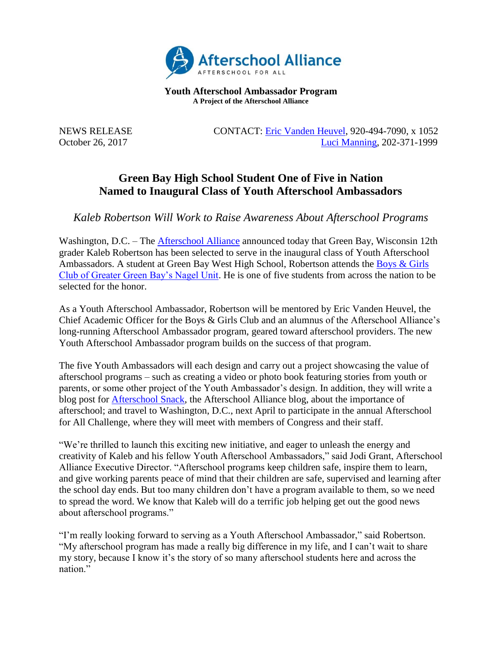

**Youth Afterschool Ambassador Program A Project of the Afterschool Alliance**

NEWS RELEASE CONTACT: [Eric Vanden Heuvel,](mailto:evandenheuvel@bgcgb.org) 920-494-7090, x 1052 October 26, 2017 [Luci Manning,](mailto:luci@prsolutionsdc.com?subject=2017-18%20Ambassador:%20) 202-371-1999

## **Green Bay High School Student One of Five in Nation Named to Inaugural Class of Youth Afterschool Ambassadors**

*Kaleb Robertson Will Work to Raise Awareness About Afterschool Programs*

Washington, D.C. – The [Afterschool Alliance](http://www.afterschoolalliance.org/) announced today that Green Bay, Wisconsin 12th grader Kaleb Robertson has been selected to serve in the inaugural class of Youth Afterschool Ambassadors. A student at Green Bay West High School, Robertson attends the [Boys & Girls](http://www.bgcgb.org/)  [Club of Greater Green Bay's Nagel Unit.](http://www.bgcgb.org/) He is one of five students from across the nation to be selected for the honor.

As a Youth Afterschool Ambassador, Robertson will be mentored by Eric Vanden Heuvel, the Chief Academic Officer for the Boys & Girls Club and an alumnus of the Afterschool Alliance's long-running Afterschool Ambassador program, geared toward afterschool providers. The new Youth Afterschool Ambassador program builds on the success of that program.

The five Youth Ambassadors will each design and carry out a project showcasing the value of afterschool programs – such as creating a video or photo book featuring stories from youth or parents, or some other project of the Youth Ambassador's design. In addition, they will write a blog post for [Afterschool Snack,](http://www.afterschoolalliance.org/afterschoolsnack/ASnack.cfm) the Afterschool Alliance blog, about the importance of afterschool; and travel to Washington, D.C., next April to participate in the annual Afterschool for All Challenge, where they will meet with members of Congress and their staff.

"We're thrilled to launch this exciting new initiative, and eager to unleash the energy and creativity of Kaleb and his fellow Youth Afterschool Ambassadors," said Jodi Grant, Afterschool Alliance Executive Director. "Afterschool programs keep children safe, inspire them to learn, and give working parents peace of mind that their children are safe, supervised and learning after the school day ends. But too many children don't have a program available to them, so we need to spread the word. We know that Kaleb will do a terrific job helping get out the good news about afterschool programs."

"I'm really looking forward to serving as a Youth Afterschool Ambassador," said Robertson. "My afterschool program has made a really big difference in my life, and I can't wait to share my story, because I know it's the story of so many afterschool students here and across the nation."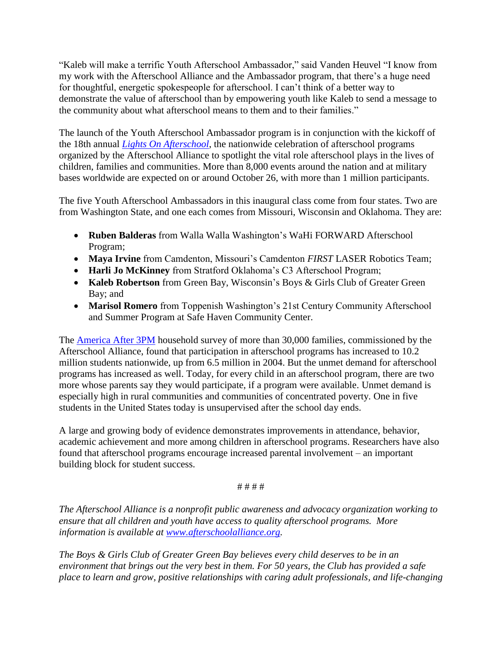"Kaleb will make a terrific Youth Afterschool Ambassador," said Vanden Heuvel "I know from my work with the Afterschool Alliance and the Ambassador program, that there's a huge need for thoughtful, energetic spokespeople for afterschool. I can't think of a better way to demonstrate the value of afterschool than by empowering youth like Kaleb to send a message to the community about what afterschool means to them and to their families."

The launch of the Youth Afterschool Ambassador program is in conjunction with the kickoff of the 18th annual *[Lights On Afterschool](http://www.afterschoolalliance.org/loa.cfm)*, the nationwide celebration of afterschool programs organized by the Afterschool Alliance to spotlight the vital role afterschool plays in the lives of children, families and communities. More than 8,000 events around the nation and at military bases worldwide are expected on or around October 26, with more than 1 million participants.

The five Youth Afterschool Ambassadors in this inaugural class come from four states. Two are from Washington State, and one each comes from Missouri, Wisconsin and Oklahoma. They are:

- **Ruben Balderas** from Walla Walla Washington's WaHi FORWARD Afterschool Program;
- **Maya Irvine** from Camdenton, Missouri's Camdenton *FIRST* LASER Robotics Team;
- **Harli Jo McKinney** from Stratford Oklahoma's C3 Afterschool Program;
- **Kaleb Robertson** from Green Bay, Wisconsin's Boys & Girls Club of Greater Green Bay; and
- **Marisol Romero** from Toppenish Washington's 21st Century Community Afterschool and Summer Program at Safe Haven Community Center.

The [America After 3PM](http://www.afterschoolalliance.org/AA3PM/) household survey of more than 30,000 families, commissioned by the Afterschool Alliance, found that participation in afterschool programs has increased to 10.2 million students nationwide, up from 6.5 million in 2004. But the unmet demand for afterschool programs has increased as well. Today, for every child in an afterschool program, there are two more whose parents say they would participate, if a program were available. Unmet demand is especially high in rural communities and communities of concentrated poverty. One in five students in the United States today is unsupervised after the school day ends.

A large and growing body of evidence demonstrates improvements in attendance, behavior, academic achievement and more among children in afterschool programs. Researchers have also found that afterschool programs encourage increased parental involvement – an important building block for student success.

# # # #

*The Afterschool Alliance is a nonprofit public awareness and advocacy organization working to ensure that all children and youth have access to quality afterschool programs. More information is available at [www.afterschoolalliance.org.](http://www.afterschoolalliance.org/)* 

*The Boys & Girls Club of Greater Green Bay believes every child deserves to be in an environment that brings out the very best in them. For 50 years, the Club has provided a safe place to learn and grow, positive relationships with caring adult professionals, and life-changing*